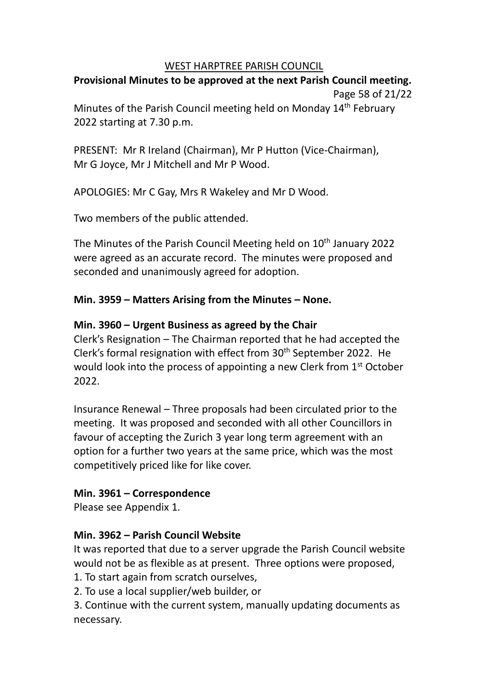## WEST HARPTREE PARISH COUNCIL

# **Provisional Minutes to be approved at the next Parish Council meeting.** Page 58 of 21/22

Minutes of the Parish Council meeting held on Monday 14<sup>th</sup> February 2022 starting at 7.30 p.m.

PRESENT: Mr R Ireland (Chairman), Mr P Hutton (Vice-Chairman), Mr G Joyce, Mr J Mitchell and Mr P Wood.

APOLOGIES: Mr C Gay, Mrs R Wakeley and Mr D Wood.

Two members of the public attended.

The Minutes of the Parish Council Meeting held on 10<sup>th</sup> January 2022 were agreed as an accurate record. The minutes were proposed and seconded and unanimously agreed for adoption.

# **Min. 3959 – Matters Arising from the Minutes – None.**

# **Min. 3960 – Urgent Business as agreed by the Chair**

Clerk's Resignation – The Chairman reported that he had accepted the Clerk's formal resignation with effect from 30<sup>th</sup> September 2022. He would look into the process of appointing a new Clerk from 1<sup>st</sup> October 2022.

Insurance Renewal – Three proposals had been circulated prior to the meeting. It was proposed and seconded with all other Councillors in favour of accepting the Zurich 3 year long term agreement with an option for a further two years at the same price, which was the most competitively priced like for like cover.

# **Min. 3961 – Correspondence**

Please see Appendix 1.

# **Min. 3962 – Parish Council Website**

It was reported that due to a server upgrade the Parish Council website would not be as flexible as at present. Three options were proposed,

1. To start again from scratch ourselves,

2. To use a local supplier/web builder, or

3. Continue with the current system, manually updating documents as necessary.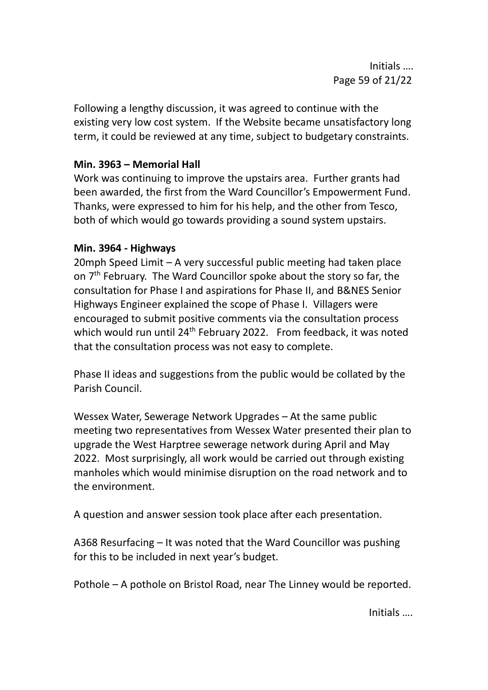Following a lengthy discussion, it was agreed to continue with the existing very low cost system. If the Website became unsatisfactory long term, it could be reviewed at any time, subject to budgetary constraints.

# **Min. 3963 – Memorial Hall**

Work was continuing to improve the upstairs area. Further grants had been awarded, the first from the Ward Councillor's Empowerment Fund. Thanks, were expressed to him for his help, and the other from Tesco, both of which would go towards providing a sound system upstairs.

## **Min. 3964 - Highways**

20mph Speed Limit – A very successful public meeting had taken place on 7<sup>th</sup> February. The Ward Councillor spoke about the story so far, the consultation for Phase I and aspirations for Phase II, and B&NES Senior Highways Engineer explained the scope of Phase I. Villagers were encouraged to submit positive comments via the consultation process which would run until 24<sup>th</sup> February 2022. From feedback, it was noted that the consultation process was not easy to complete.

Phase II ideas and suggestions from the public would be collated by the Parish Council.

Wessex Water, Sewerage Network Upgrades – At the same public meeting two representatives from Wessex Water presented their plan to upgrade the West Harptree sewerage network during April and May 2022. Most surprisingly, all work would be carried out through existing manholes which would minimise disruption on the road network and to the environment.

A question and answer session took place after each presentation.

A368 Resurfacing – It was noted that the Ward Councillor was pushing for this to be included in next year's budget.

Pothole – A pothole on Bristol Road, near The Linney would be reported.

Initials ….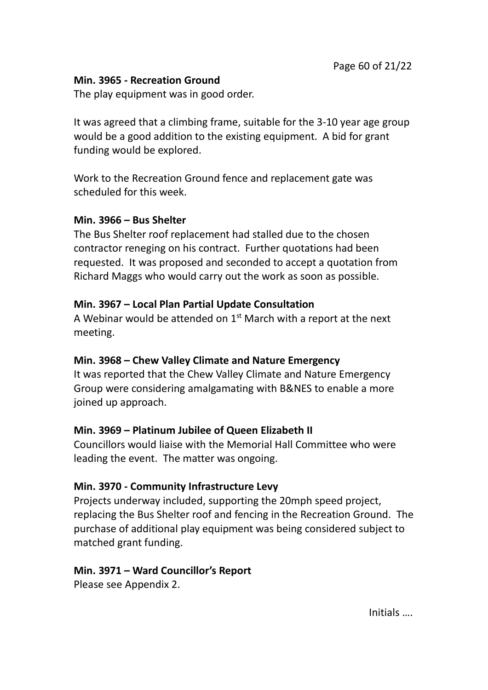# **Min. 3965 - Recreation Ground**

The play equipment was in good order.

It was agreed that a climbing frame, suitable for the 3-10 year age group would be a good addition to the existing equipment. A bid for grant funding would be explored.

Work to the Recreation Ground fence and replacement gate was scheduled for this week.

# **Min. 3966 – Bus Shelter**

The Bus Shelter roof replacement had stalled due to the chosen contractor reneging on his contract. Further quotations had been requested. It was proposed and seconded to accept a quotation from Richard Maggs who would carry out the work as soon as possible.

# **Min. 3967 – Local Plan Partial Update Consultation**

A Webinar would be attended on  $1<sup>st</sup>$  March with a report at the next meeting.

# **Min. 3968 – Chew Valley Climate and Nature Emergency**

It was reported that the Chew Valley Climate and Nature Emergency Group were considering amalgamating with B&NES to enable a more joined up approach.

# **Min. 3969 – Platinum Jubilee of Queen Elizabeth II**

Councillors would liaise with the Memorial Hall Committee who were leading the event. The matter was ongoing.

# **Min. 3970 - Community Infrastructure Levy**

Projects underway included, supporting the 20mph speed project, replacing the Bus Shelter roof and fencing in the Recreation Ground. The purchase of additional play equipment was being considered subject to matched grant funding.

# **Min. 3971 – Ward Councillor's Report**

Please see Appendix 2.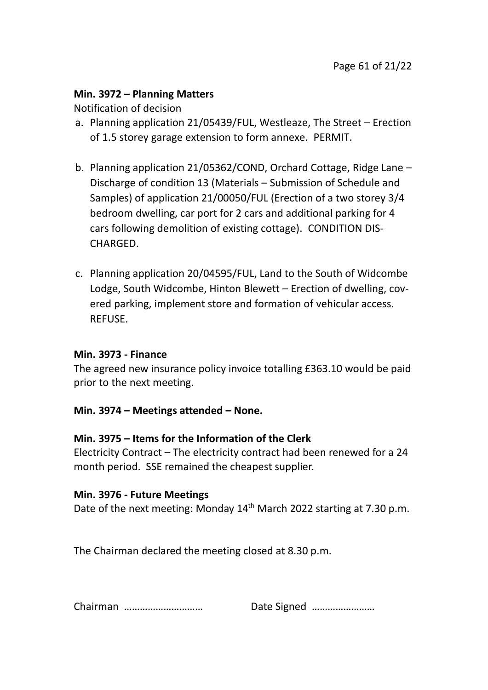## **Min. 3972 – Planning Matters**

Notification of decision

- a. Planning application 21/05439/FUL, Westleaze, The Street Erection of 1.5 storey garage extension to form annexe. PERMIT.
- b. Planning application 21/05362/COND, Orchard Cottage, Ridge Lane Discharge of condition 13 (Materials – Submission of Schedule and Samples) of application 21/00050/FUL (Erection of a two storey 3/4 bedroom dwelling, car port for 2 cars and additional parking for 4 cars following demolition of existing cottage). CONDITION DIS-CHARGED.
- c. Planning application 20/04595/FUL, Land to the South of Widcombe Lodge, South Widcombe, Hinton Blewett – Erection of dwelling, covered parking, implement store and formation of vehicular access. REFUSE.

## **Min. 3973 - Finance**

The agreed new insurance policy invoice totalling £363.10 would be paid prior to the next meeting.

## **Min. 3974 – Meetings attended – None.**

## **Min. 3975 – Items for the Information of the Clerk**

Electricity Contract – The electricity contract had been renewed for a 24 month period. SSE remained the cheapest supplier.

## **Min. 3976 - Future Meetings**

Date of the next meeting: Monday 14<sup>th</sup> March 2022 starting at 7.30 p.m.

The Chairman declared the meeting closed at 8.30 p.m.

| Chairman |  | Date Signed |
|----------|--|-------------|
|----------|--|-------------|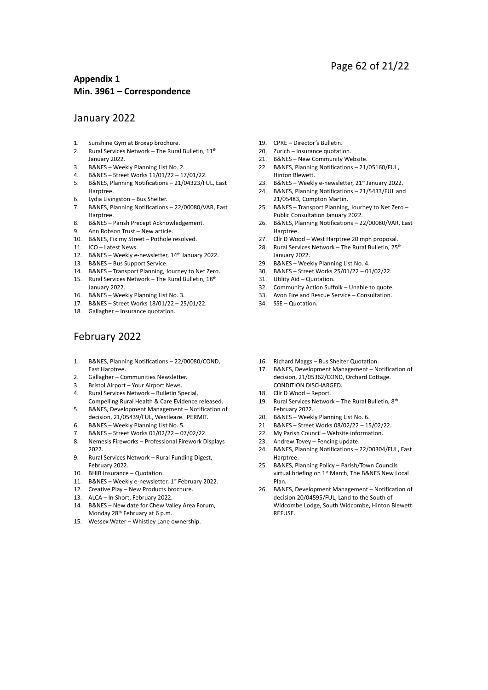### Page 62 of 21/22

#### **Appendix 1 Min. 3961 – Correspondence**

#### January 2022

- 1. Sunshine Gym at Broxap brochure.
- 2. Rural Services Network The Rural Bulletin, 11<sup>th</sup> January 2022.
- 3. B&NES Weekly Planning List No. 2.<br>4. B&NES Street Works 11/01/22 17
- 4. B&NES Street Works 11/01/22 17/01/22.
- 5. B&NES, Planning Notifications 21/04323/FUL, East Harptree.
- 6. Lydia Livingston Bus Shelter.
- 7. B&NES, Planning Notifications 22/00080/VAR, East Harptree.
- 8. B&NES Parish Precept Acknowledgement.
- 9. Ann Robson Trust New article.
- 10. B&NES, Fix my Street Pothole resolved.
- 11. ICO Latest News.
- 12. B&NES Weekly e-newsletter, 14th January 2022.
- 13. B&NES Bus Support Service.
- 14. B&NES Transport Planning, Journey to Net Zero. 15. Rural Services Network - The Rural Bulletin, 18th
- January 2022.
- 16. B&NES Weekly Planning List No. 3.
- 17. B&NES Street Works 18/01/22 25/01/22.
- 18. Gallagher Insurance quotation.

### February 2022

- 1. B&NES, Planning Notifications 22/00080/COND, East Harptree.
- 
- 2. Gallagher Communities Newsletter.<br>3. Bristol Airport Your Airport News. Bristol Airport – Your Airport News.
- 4. Rural Services Network Bulletin Special,
- Compelling Rural Health & Care Evidence released. 5. B&NES, Development Management – Notification of
- decision, 21/05439/FUL, Westleaze. PERMIT. 6. B&NES – Weekly Planning List No. 5.
- 7. B&NES Street Works 01/02/22 07/02/22.
- 8. Nemesis Fireworks Professional Firework Displays 2022.
- 9. Rural Services Network Rural Funding Digest, February 2022.
- 10. BHIB Insurance Quotation.
- 11. B&NES Weekly e-newsletter, 1<sup>st</sup> February 2022.
- 12. Creative Play New Products brochure.
- 13. ALCA In Short, February 2022.
- 14. B&NES New date for Chew Valley Area Forum, Monday 28<sup>th</sup> February at 6 p.m.
- 15. Wessex Water Whistley Lane ownership.
- 19. CPRE Director's Bulletin.
- 20. Zurich Insurance quotation.
- 21. B&NES New Community Website.
- 22. B&NES, Planning Notifications 21/05160/FUL, Hinton Blewett.
- 23. B&NES Weekly e-newsletter, 21st January 2022.
- 24. B&NES, Planning Notifications 21/5433/FUL and 21/05483, Compton Martin.
- 25. B&NES Transport Planning, Journey to Net Zero Public Consultation January 2022.
- 26. B&NES, Planning Notifications 22/00080/VAR, East Harptree.
- 27. Cllr D Wood West Harptree 20 mph proposal.
- 28. Rural Services Network The Rural Bulletin, 25<sup>th</sup> January 2022.
- 29. B&NES Weekly Planning List No. 4.
- 30. B&NES Street Works 25/01/22 01/02/22.
- 31. Utility Aid Quotation.
- 32. Community Action Suffolk Unable to quote.
- 33. Avon Fire and Rescue Service Consultation.
- 34. SSE Quotation.
- 16. Richard Maggs Bus Shelter Quotation.
- 17. B&NES, Development Management Notification of decision, 21/05362/COND, Orchard Cottage. CONDITION DISCHARGED.
- 18. Cllr D Wood Report.
- 19. Rural Services Network The Rural Bulletin, 8th February 2022.
- 20. B&NES Weekly Planning List No. 6.
- 21. B&NES Street Works 08/02/22 15/02/22.
- 22. My Parish Council Website information.
- 23. Andrew Tovey Fencing update.
- 24. B&NES, Planning Notifications 22/00304/FUL, East Harptree.
- 25. B&NES, Planning Policy Parish/Town Councils virtual briefing on 1st March, The B&NES New Local Plan.
- 26. B&NES, Development Management Notification of decision 20/04595/FUL, Land to the South of Widcombe Lodge, South Widcombe, Hinton Blewett. REFUSE.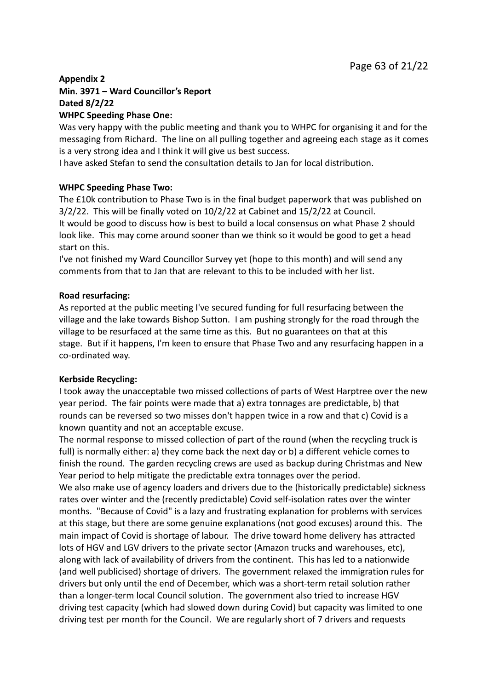## **Appendix 2 Min. 3971 – Ward Councillor's Report Dated 8/2/22**

#### **WHPC Speeding Phase One:**

Was very happy with the public meeting and thank you to WHPC for organising it and for the messaging from Richard. The line on all pulling together and agreeing each stage as it comes is a very strong idea and I think it will give us best success.

I have asked Stefan to send the consultation details to Jan for local distribution.

#### **WHPC Speeding Phase Two:**

The £10k contribution to Phase Two is in the final budget paperwork that was published on 3/2/22. This will be finally voted on 10/2/22 at Cabinet and 15/2/22 at Council. It would be good to discuss how is best to build a local consensus on what Phase 2 should look like. This may come around sooner than we think so it would be good to get a head start on this.

I've not finished my Ward Councillor Survey yet (hope to this month) and will send any comments from that to Jan that are relevant to this to be included with her list.

#### **Road resurfacing:**

As reported at the public meeting I've secured funding for full resurfacing between the village and the lake towards Bishop Sutton. I am pushing strongly for the road through the village to be resurfaced at the same time as this. But no guarantees on that at this stage. But if it happens, I'm keen to ensure that Phase Two and any resurfacing happen in a co-ordinated way.

#### **Kerbside Recycling:**

I took away the unacceptable two missed collections of parts of West Harptree over the new year period. The fair points were made that a) extra tonnages are predictable, b) that rounds can be reversed so two misses don't happen twice in a row and that c) Covid is a known quantity and not an acceptable excuse.

The normal response to missed collection of part of the round (when the recycling truck is full) is normally either: a) they come back the next day or b) a different vehicle comes to finish the round. The garden recycling crews are used as backup during Christmas and New Year period to help mitigate the predictable extra tonnages over the period.

We also make use of agency loaders and drivers due to the (historically predictable) sickness rates over winter and the (recently predictable) Covid self-isolation rates over the winter months. "Because of Covid" is a lazy and frustrating explanation for problems with services at this stage, but there are some genuine explanations (not good excuses) around this. The main impact of Covid is shortage of labour. The drive toward home delivery has attracted lots of HGV and LGV drivers to the private sector (Amazon trucks and warehouses, etc), along with lack of availability of drivers from the continent. This has led to a nationwide (and well publicised) shortage of drivers. The government relaxed the immigration rules for drivers but only until the end of December, which was a short-term retail solution rather than a longer-term local Council solution. The government also tried to increase HGV driving test capacity (which had slowed down during Covid) but capacity was limited to one driving test per month for the Council. We are regularly short of 7 drivers and requests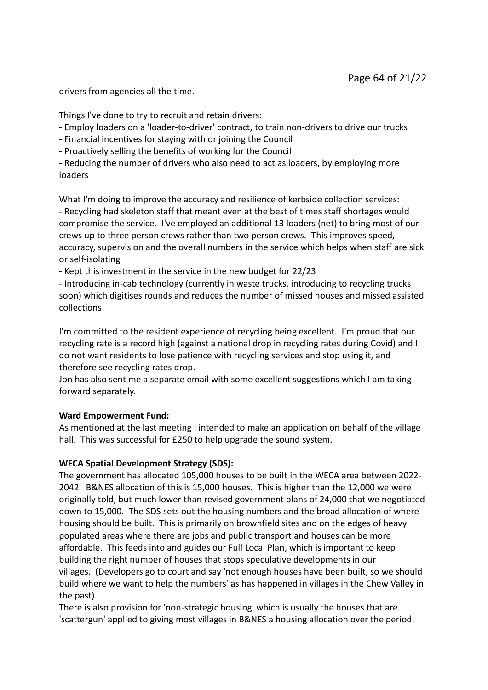drivers from agencies all the time.

Things I've done to try to recruit and retain drivers:

- Employ loaders on a 'loader-to-driver' contract, to train non-drivers to drive our trucks

- Financial incentives for staying with or joining the Council

- Proactively selling the benefits of working for the Council

- Reducing the number of drivers who also need to act as loaders, by employing more loaders

What I'm doing to improve the accuracy and resilience of kerbside collection services: - Recycling had skeleton staff that meant even at the best of times staff shortages would compromise the service. I've employed an additional 13 loaders (net) to bring most of our crews up to three person crews rather than two person crews. This improves speed, accuracy, supervision and the overall numbers in the service which helps when staff are sick or self-isolating

- Kept this investment in the service in the new budget for 22/23

- Introducing in-cab technology (currently in waste trucks, introducing to recycling trucks soon) which digitises rounds and reduces the number of missed houses and missed assisted collections

I'm committed to the resident experience of recycling being excellent. I'm proud that our recycling rate is a record high (against a national drop in recycling rates during Covid) and I do not want residents to lose patience with recycling services and stop using it, and therefore see recycling rates drop.

Jon has also sent me a separate email with some excellent suggestions which I am taking forward separately.

#### **Ward Empowerment Fund:**

As mentioned at the last meeting I intended to make an application on behalf of the village hall. This was successful for £250 to help upgrade the sound system.

#### **WECA Spatial Development Strategy (SDS):**

The government has allocated 105,000 houses to be built in the WECA area between 2022- 2042. B&NES allocation of this is 15,000 houses. This is higher than the 12,000 we were originally told, but much lower than revised government plans of 24,000 that we negotiated down to 15,000. The SDS sets out the housing numbers and the broad allocation of where housing should be built. This is primarily on brownfield sites and on the edges of heavy populated areas where there are jobs and public transport and houses can be more affordable. This feeds into and guides our Full Local Plan, which is important to keep building the right number of houses that stops speculative developments in our villages. (Developers go to court and say 'not enough houses have been built, so we should build where we want to help the numbers' as has happened in villages in the Chew Valley in the past).

There is also provision for 'non-strategic housing' which is usually the houses that are 'scattergun' applied to giving most villages in B&NES a housing allocation over the period.